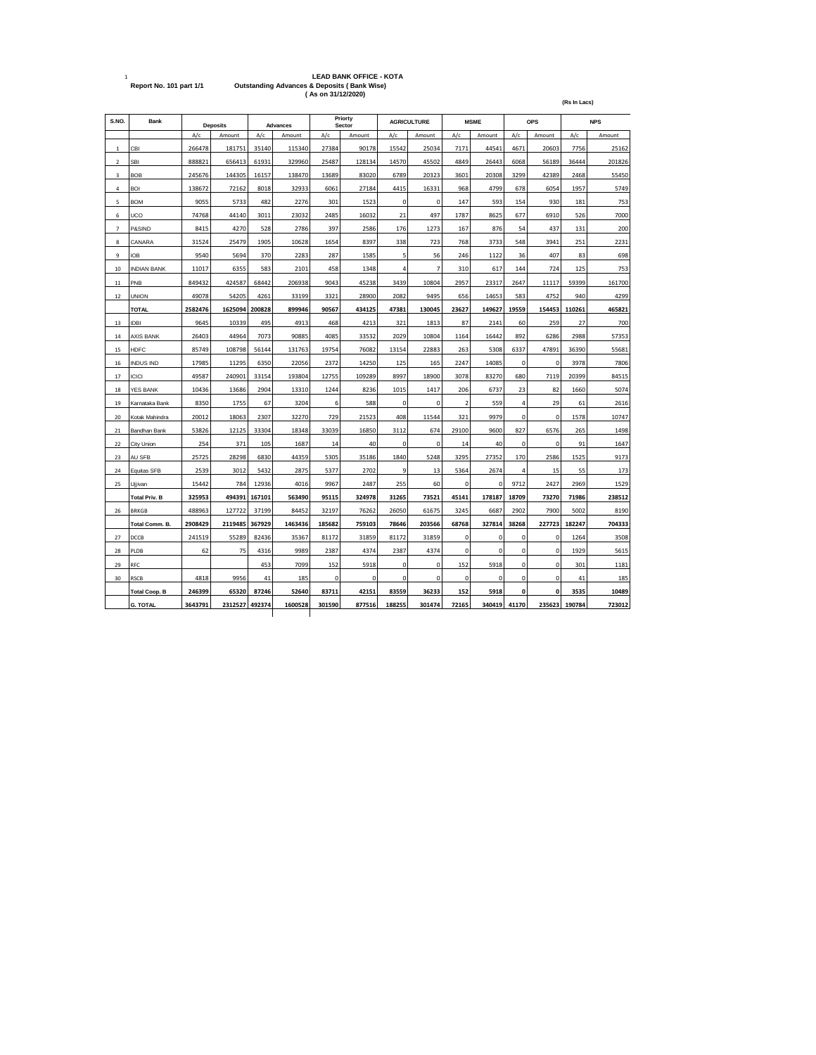| $\mathbf{1}$   | Report No. 101 part 1/1 |         |          |        |                 | (As on 31/12/2020) | <b>LEAD BANK OFFICE - KOTA</b><br><b>Outstanding Advances &amp; Deposits (Bank Wise)</b> |             |                    |                          |             |                |             | (Rs In Lacs) |            |
|----------------|-------------------------|---------|----------|--------|-----------------|--------------------|------------------------------------------------------------------------------------------|-------------|--------------------|--------------------------|-------------|----------------|-------------|--------------|------------|
| S.NO.          | Bank                    |         | Deposits |        | <b>Advances</b> |                    | Priorty<br>Sector                                                                        |             | <b>AGRICULTURE</b> |                          | <b>MSME</b> |                | <b>OPS</b>  |              | <b>NPS</b> |
|                |                         | A/c     | Amount   | A/c    | Amount          | A/c                | Amount                                                                                   | A/c         | Amount             | A/c                      | Amount      | A/c            | Amount      | A/c          | Amount     |
| 1              | CBI                     | 266478  | 181751   | 35140  | 115340          | 27384              | 90178                                                                                    | 15542       | 25034              | 7171                     | 44541       | 4671           | 20603       | 7756         | 25162      |
| $\overline{2}$ | <b>SBI</b>              | 888821  | 656413   | 61931  | 329960          | 25487              | 128134                                                                                   | 14570       | 45502              | 4849                     | 26443       | 6068           | 56189       | 36444        | 201826     |
| 3              | <b>BOB</b>              | 245676  | 144305   | 16157  | 138470          | 13689              | 83020                                                                                    | 6789        | 20323              | 3601                     | 20308       | 3299           | 42389       | 2468         | 55450      |
| 4              | <b>BOI</b>              | 138672  | 72162    | 8018   | 32933           | 6061               | 27184                                                                                    | 4415        | 16331              | 968                      | 4799        | 678            | 6054        | 1957         | 5749       |
| 5              | <b>BOM</b>              | 9055    | 5733     | 482    | 2276            | 301                | 1523                                                                                     | 0           | $\mathbf 0$        | 147                      | 593         | 154            | 930         | 181          | 753        |
| 6              | uco                     | 74768   | 44140    | 3011   | 23032           | 2485               | 16032                                                                                    | 21          | 497                | 1787                     | 8625        | 677            | 6910        | 526          | 7000       |
| 7              | P&SIND                  | 8415    | 4270     | 528    | 2786            | 397                | 2586                                                                                     | 176         | 1273               | 167                      | 876         | 54             | 437         | 131          | 200        |
| 8              | CANARA                  | 31524   | 25479    | 1905   | 10628           | 1654               | 8397                                                                                     | 338         | 723                | 768                      | 3733        | 548            | 3941        | 251          | 2231       |
| 9              | IOB                     | 9540    | 5694     | 370    | 2283            | 287                | 1585                                                                                     | 5           | 56                 | 246                      | 1122        | 36             | 407         | 83           | 698        |
| 10             | <b>INDIAN BANK</b>      | 11017   | 6355     | 583    | 2101            | 458                | 1348                                                                                     | 4           | $\overline{7}$     | 310                      | 617         | 144            | 724         | 125          | 753        |
| 11             | PNB                     | 849432  | 424587   | 68442  | 206938          | 9043               | 45238                                                                                    | 3439        | 10804              | 2957                     | 23317       | 2647           | 11117       | 59399        | 161700     |
| $12\,$         | <b>UNION</b>            | 49078   | 54205    | 4261   | 33199           | 3321               | 28900                                                                                    | 2082        | 9495               | 656                      | 14653       | 583            | 4752        | 940          | 4299       |
|                | <b>TOTAL</b>            | 2582476 | 1625094  | 200828 | 899946          | 90567              | 434125                                                                                   | 47381       | 130045             | 23627                    | 149627      | 19559          | 154453      | 110261       | 465821     |
| 13             | <b>IDBI</b>             | 9645    | 10339    | 495    | 4913            | 468                | 4213                                                                                     | 321         | 1813               | 87                       | 2141        | 60             | 259         | 27           | 700        |
| 14             | <b>AXIS BANK</b>        | 26403   | 44964    | 7073   | 90885           | 4085               | 33532                                                                                    | 2029        | 10804              | 1164                     | 16442       | 892            | 6286        | 2988         | 57353      |
| 15             | HDFC                    | 85749   | 108798   | 56144  | 131763          | 19754              | 76082                                                                                    | 13154       | 22883              | 263                      | 5308        | 6337           | 47891       | 36390        | 55681      |
| 16             | <b>INDUS IND</b>        | 17985   | 11295    | 6350   | 22056           | 2372               | 14250                                                                                    | 125         | 165                | 2247                     | 14085       | $\pmb{0}$      | 0           | 3978         | 7806       |
| 17             | <b>ICICI</b>            | 49587   | 240901   | 33154  | 193804          | 12755              | 109289                                                                                   | 8997        | 18900              | 3078                     | 83270       | 680            | 7119        | 20399        | 84515      |
| 18             | YES BANK                | 10436   | 13686    | 2904   | 13310           | 1244               | 8236                                                                                     | 1015        | 1417               | 206                      | 6737        | 23             | 82          | 1660         | 5074       |
| 19             | Karnataka Bank          | 8350    | 1755     | 67     | 3204            | 6                  | 588                                                                                      | $\mathbf 0$ | $\mathbf 0$        | $\overline{\phantom{a}}$ | 559         | $\overline{4}$ | 29          | 61           | 2616       |
| 20             | Kotak Mahindra          | 20012   | 18063    | 2307   | 32270           | 729                | 21523                                                                                    | 408         | 11544              | 321                      | 9979        | $\mathbf 0$    | $\mathbf 0$ | 1578         | 10747      |
| 21             | Bandhan Bank            | 53826   | 12125    | 33304  | 18348           | 33039              | 16850                                                                                    | 3112        | 674                | 29100                    | 9600        | 827            | 6576        | 265          | 1498       |
| 22             | City Union              | 254     | 371      | 105    | 1687            | 14                 | 40                                                                                       | $\pmb{0}$   | $\mathbf 0$        | 14                       | 40          | $\mathbf 0$    | 0           | 91           | 1647       |
| 23             | AU SFB                  | 25725   | 28298    | 6830   | 44359           | 5305               | 35186                                                                                    | 1840        | 5248               | 3295                     | 27352       | 170            | 2586        | 1525         | 9173       |
| 24             | Equitas SFB             | 2539    | 3012     | 5432   | 2875            | 5377               | 2702                                                                                     | 9           | 13                 | 5364                     | 2674        | 4              | 15          | 55           | 173        |
| 25             | Ujjivan                 | 15442   | 784      | 12936  | 4016            | 9967               | 2487                                                                                     | 255         | 60                 | $\mathbf 0$              | $\mathbf 0$ | 9712           | 2427        | 2969         | 1529       |
|                | <b>Total Priv. B</b>    | 325953  | 494391   | 167101 | 563490          | 95115              | 324978                                                                                   | 31265       | 73521              | 45141                    | 178187      | 18709          | 73270       | 71986        | 238512     |
| 26             | <b>BRKGB</b>            | 488963  | 127722   | 37199  | 84452           | 32197              | 76262                                                                                    | 26050       | 61675              | 3245                     | 6687        | 2902           | 7900        | 5002         | 8190       |
|                | Total Comm. B.          | 2908429 | 2119485  | 367929 | 1463436         | 185682             | 759103                                                                                   | 78646       | 203566             | 68768                    | 327814      | 38268          | 227723      | 182247       | 704333     |
| 27             | DCCB                    | 241519  | 55289    | 82436  | 35367           | 81172              | 31859                                                                                    | 81172       | 31859              | $\mathbf 0$              | 0           | $\pmb{0}$      | 0           | 1264         | 3508       |
| 28             | PLDB                    | 62      | 75       | 4316   | 9989            | 2387               | 4374                                                                                     | 2387        | 4374               | $\mathbf 0$              | $\mathbf 0$ | $\mathbf 0$    | $\mathbf 0$ | 1929         | 5615       |
| 29             | RFC                     |         |          | 453    | 7099            | 152                | 5918                                                                                     | 0           | $\mathbf 0$        | 152                      | 5918        | $\mathbf 0$    | $\mathbf 0$ | 301          | 1181       |
| 30             | <b>RSCB</b>             | 4818    | 9956     | 41     | 185             | 0                  | 0                                                                                        | 0           | 0                  | 0                        | 0           | $\mathbf 0$    | 0           | 41           | 185        |
|                | <b>Total Coop. B</b>    | 246399  | 65320    | 87246  | 52640           | 83711              | 42151                                                                                    | 83559       | 36233              | 152                      | 5918        | $\mathbf 0$    | 0           | 3535         | 10489      |
|                | <b>G. TOTAL</b>         | 3643791 | 2312527  | 492374 | 1600528         | 301590             | 877516                                                                                   | 188255      | 301474             | 72165                    | 340419      | 41170          | 235623      | 190784       | 723012     |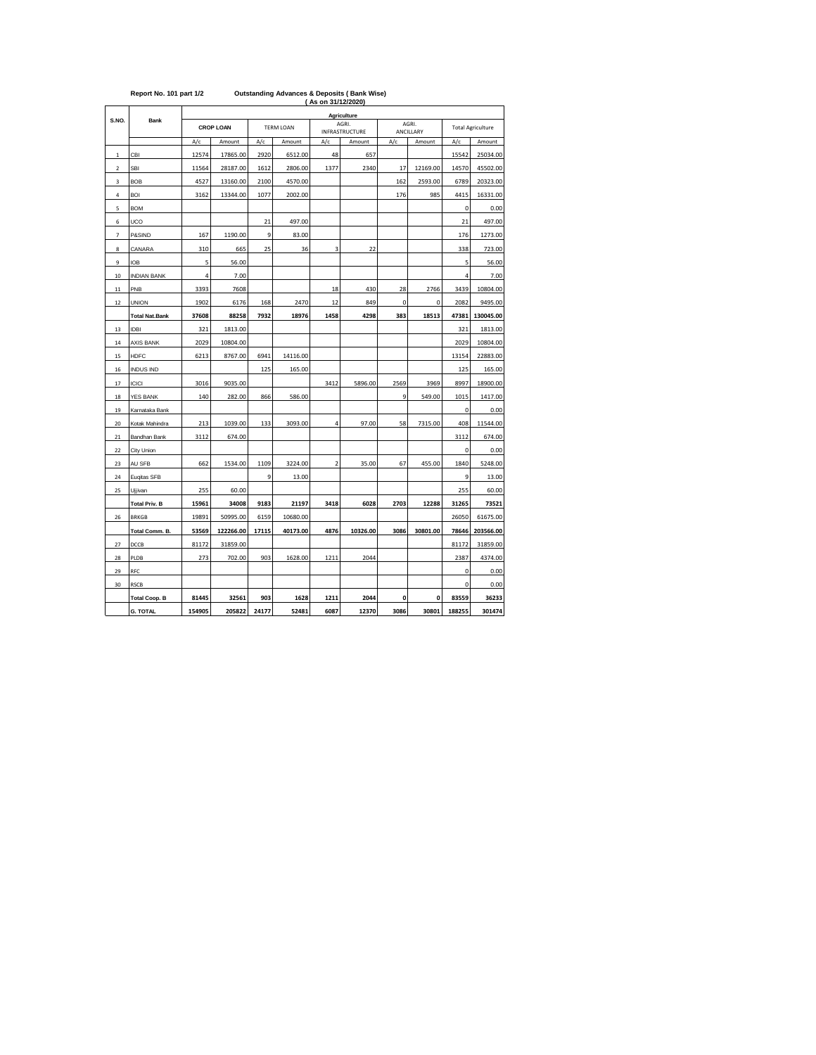|              | Report No. 101 part 1/2 |                      |                  |                  | <b>Outstanding Advances &amp; Deposits (Bank Wise)</b> | (As on 31/12/2020) |                         |             |             |                          |           |  |  |  |
|--------------|-------------------------|----------------------|------------------|------------------|--------------------------------------------------------|--------------------|-------------------------|-------------|-------------|--------------------------|-----------|--|--|--|
|              |                         | Agriculture<br>AGRI. |                  |                  |                                                        |                    |                         |             |             |                          |           |  |  |  |
| S.NO.        | <b>Bank</b>             |                      | <b>CROP LOAN</b> | <b>TERM LOAN</b> |                                                        |                    | AGRI.<br>INFRASTRUCTURE |             | ANCILLARY   | <b>Total Agriculture</b> |           |  |  |  |
|              |                         | A/c                  | Amount           | A/c              | Amount                                                 | A/c                | Amount                  | A/c         | Amount      | A/c                      | Amount    |  |  |  |
| $\mathbf{1}$ | CBI                     | 12574                | 17865.00         | 2920             | 6512.00                                                | 48                 | 657                     |             |             | 15542                    | 25034.00  |  |  |  |
| $\mathbf 2$  | SBI                     | 11564                | 28187.00         | 1612             | 2806.00                                                | 1377               | 2340                    | 17          | 12169.00    | 14570                    | 45502.00  |  |  |  |
| 3            | <b>BOB</b>              | 4527                 | 13160.00         | 2100             | 4570.00                                                |                    |                         | 162         | 2593.00     | 6789                     | 20323.00  |  |  |  |
| 4            | <b>BOI</b>              | 3162                 | 13344.00         | 1077             | 2002.00                                                |                    |                         | 176         | 985         | 4415                     | 16331.00  |  |  |  |
| 5            | <b>BOM</b>              |                      |                  |                  |                                                        |                    |                         |             |             | $\mathbf 0$              | 0.00      |  |  |  |
| 6            | UCO                     |                      |                  | 21               | 497.00                                                 |                    |                         |             |             | 21                       | 497.00    |  |  |  |
| 7            | P&SIND                  | 167                  | 1190.00          | 9                | 83.00                                                  |                    |                         |             |             | 176                      | 1273.00   |  |  |  |
| 8            | CANARA                  | 310                  | 665              | 25               | 36                                                     | 3                  | 22                      |             |             | 338                      | 723.00    |  |  |  |
| 9            | <b>IOB</b>              | 5                    | 56.00            |                  |                                                        |                    |                         |             |             | 5                        | 56.00     |  |  |  |
| 10           | <b>INDIAN BANK</b>      | 4                    | 7.00             |                  |                                                        |                    |                         |             |             | 4                        | 7.00      |  |  |  |
| 11           | PNB                     | 3393                 | 7608             |                  |                                                        | 18                 | 430                     | 28          | 2766        | 3439                     | 10804.00  |  |  |  |
| 12           | <b>UNION</b>            | 1902                 | 6176             | 168              | 2470                                                   | 12                 | 849                     | $\mathbf 0$ | $\mathbf 0$ | 2082                     | 9495.00   |  |  |  |
|              | <b>Total Nat.Bank</b>   | 37608                | 88258            | 7932             | 18976                                                  | 1458               | 4298                    | 383         | 18513       | 47381                    | 130045.00 |  |  |  |
| 13           | <b>IDBI</b>             | 321                  | 1813.00          |                  |                                                        |                    |                         |             |             | 321                      | 1813.00   |  |  |  |
| 14           | <b>AXIS BANK</b>        | 2029                 | 10804.00         |                  |                                                        |                    |                         |             |             | 2029                     | 10804.00  |  |  |  |
| 15           | <b>HDFC</b>             | 6213                 | 8767.00          | 6941             | 14116.00                                               |                    |                         |             |             | 13154                    | 22883.00  |  |  |  |
| 16           | <b>INDUS IND</b>        |                      |                  | 125              | 165.00                                                 |                    |                         |             |             | 125                      | 165.00    |  |  |  |
| 17           | <b>ICICI</b>            | 3016                 | 9035.00          |                  |                                                        | 3412               | 5896.00                 | 2569        | 3969        | 8997                     | 18900.00  |  |  |  |
| 18           | <b>YES BANK</b>         | 140                  | 282.00           | 866              | 586.00                                                 |                    |                         | 9           | 549.00      | 1015                     | 1417.00   |  |  |  |
| 19           | Karnataka Bank          |                      |                  |                  |                                                        |                    |                         |             |             | 0                        | 0.00      |  |  |  |
| 20           | Kotak Mahindra          | 213                  | 1039.00          | 133              | 3093.00                                                | 4                  | 97.00                   | 58          | 7315.00     | 408                      | 11544.00  |  |  |  |
| 21           | Bandhan Bank            | 3112                 | 674.00           |                  |                                                        |                    |                         |             |             | 3112                     | 674.00    |  |  |  |
| 22           | City Union              |                      |                  |                  |                                                        |                    |                         |             |             | $\mathbf 0$              | 0.00      |  |  |  |
| 23           | AU SFB                  | 662                  | 1534.00          | 1109             | 3224.00                                                | $\overline{2}$     | 35.00                   | 67          | 455.00      | 1840                     | 5248.00   |  |  |  |
| 24           | Euqitas SFB             |                      |                  | 9                | 13.00                                                  |                    |                         |             |             | 9                        | 13.00     |  |  |  |
| 25           | Ujjivan                 | 255                  | 60.00            |                  |                                                        |                    |                         |             |             | 255                      | 60.00     |  |  |  |
|              | <b>Total Priv. B</b>    | 15961                | 34008            | 9183             | 21197                                                  | 3418               | 6028                    | 2703        | 12288       | 31265                    | 73521     |  |  |  |
| 26           | <b>BRKGB</b>            | 19891                | 50995.00         | 6159             | 10680.00                                               |                    |                         |             |             | 26050                    | 61675.00  |  |  |  |
|              | Total Comm. B.          | 53569                | 122266.00        | 17115            | 40173.00                                               | 4876               | 10326.00                | 3086        | 30801.00    | 78646                    | 203566.00 |  |  |  |
| 27           | DCCB                    | 81172                | 31859.00         |                  |                                                        |                    |                         |             |             | 81172                    | 31859.00  |  |  |  |
| 28           | PLDB                    | 273                  | 702.00           | 903              | 1628.00                                                | 1211               | 2044                    |             |             | 2387                     | 4374.00   |  |  |  |
| 29           | RFC                     |                      |                  |                  |                                                        |                    |                         |             |             | 0                        | 0.00      |  |  |  |
| 30           | <b>RSCB</b>             |                      |                  |                  |                                                        |                    |                         |             |             | 0                        | 0.00      |  |  |  |
|              | <b>Total Coop. B</b>    | 81445                | 32561            | 903              | 1628                                                   | 1211               | 2044                    | 0           | 0           | 83559                    | 36233     |  |  |  |
|              | <b>G. TOTAL</b>         | 154905               | 205822           | 24177            | 52481                                                  | 6087               | 12370                   | 3086        | 30801       | 188255                   | 301474    |  |  |  |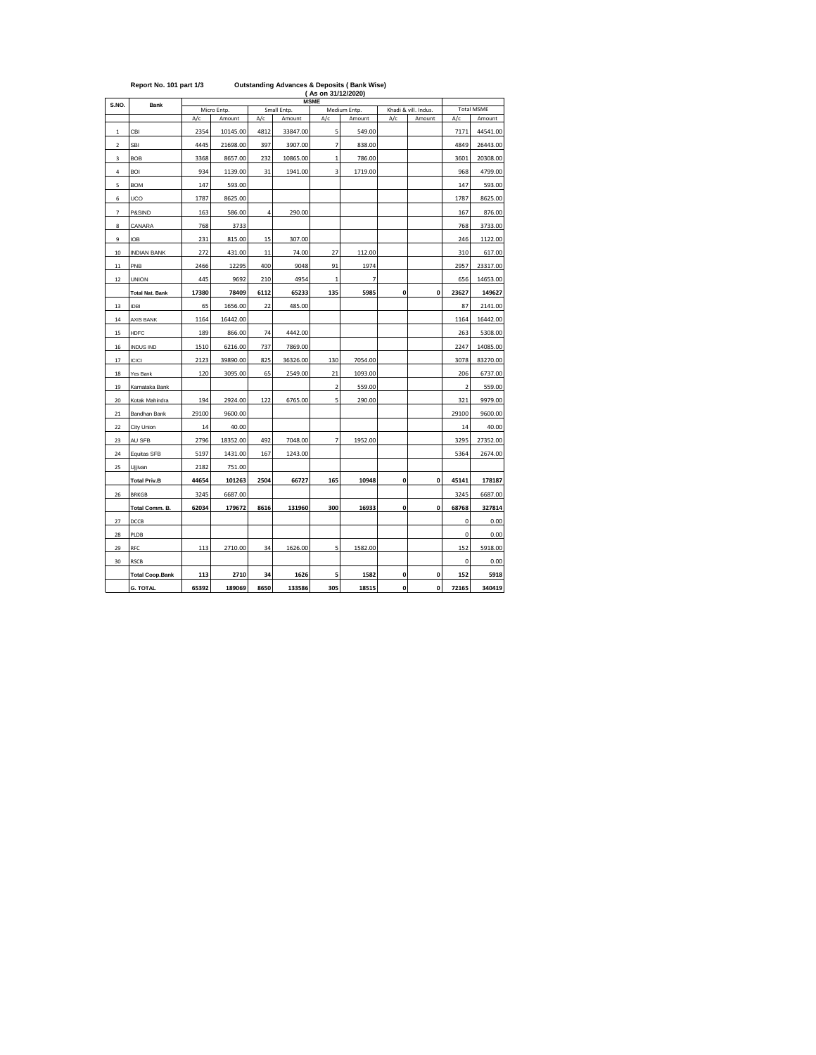|                          | (As on 31/12/2020)<br><b>MSME</b> |       |             |                                                     |          |                         |                |     |        |                         |                   |  |  |
|--------------------------|-----------------------------------|-------|-------------|-----------------------------------------------------|----------|-------------------------|----------------|-----|--------|-------------------------|-------------------|--|--|
| S.NO.                    | <b>Bank</b>                       |       | Micro Entp. | Small Entp.<br>Medium Entp.<br>Khadi & vill. Indus. |          |                         |                |     |        |                         | <b>Total MSME</b> |  |  |
|                          |                                   | A/c   | Amount      | A/c                                                 | Amount   | A/c                     | Amount         | A/c | Amount | A/c                     | Amount            |  |  |
| $\,1\,$                  | CBI                               | 2354  | 10145.00    | 4812                                                | 33847.00 | 5                       | 549.00         |     |        | 7171                    | 44541.00          |  |  |
| $\mathbf 2$              | SBI                               | 4445  | 21698.00    | 397                                                 | 3907.00  | 7                       | 838.00         |     |        | 4849                    | 26443.00          |  |  |
| 3                        | <b>BOB</b>                        | 3368  | 8657.00     | 232                                                 | 10865.00 | 1                       | 786.00         |     |        | 3601                    | 20308.00          |  |  |
| 4                        | <b>BOI</b>                        | 934   | 1139.00     | 31                                                  | 1941.00  | 3                       | 1719.00        |     |        | 968                     | 4799.00           |  |  |
| 5                        | <b>BOM</b>                        | 147   | 593.00      |                                                     |          |                         |                |     |        | 147                     | 593.00            |  |  |
| 6                        | UCO                               | 1787  | 8625.00     |                                                     |          |                         |                |     |        | 1787                    | 8625.00           |  |  |
| $\overline{\phantom{a}}$ | P&SIND                            | 163   | 586.00      | 4                                                   | 290.00   |                         |                |     |        | 167                     | 876.00            |  |  |
| 8                        | CANARA                            | 768   | 3733        |                                                     |          |                         |                |     |        | 768                     | 3733.00           |  |  |
| 9                        | <b>IOB</b>                        | 231   | 815.00      | 15                                                  | 307.00   |                         |                |     |        | 246                     | 1122.00           |  |  |
| 10                       | <b>INDIAN BANK</b>                | 272   | 431.00      | 11                                                  | 74.00    | 27                      | 112.00         |     |        | 310                     | 617.00            |  |  |
| $11$                     | PNB                               | 2466  | 12295       | 400                                                 | 9048     | 91                      | 1974           |     |        | 2957                    | 23317.00          |  |  |
| $12\,$                   | <b>UNION</b>                      | 445   | 9692        | 210                                                 | 4954     | $\mathbf{1}$            | $\overline{7}$ |     |        | 656                     | 14653.00          |  |  |
|                          | <b>Total Nat. Bank</b>            | 17380 | 78409       | 6112                                                | 65233    | 135                     | 5985           | 0   | 0      | 23627                   | 149627            |  |  |
| 13                       | <b>IDBI</b>                       | 65    | 1656.00     | 22                                                  | 485.00   |                         |                |     |        | 87                      | 2141.00           |  |  |
| 14                       | <b>AXIS BANK</b>                  | 1164  | 16442.00    |                                                     |          |                         |                |     |        | 1164                    | 16442.00          |  |  |
| 15                       | <b>HDFC</b>                       | 189   | 866.00      | 74                                                  | 4442.00  |                         |                |     |        | 263                     | 5308.00           |  |  |
| 16                       | <b>INDUS IND</b>                  | 1510  | 6216.00     | 737                                                 | 7869.00  |                         |                |     |        | 2247                    | 14085.00          |  |  |
| 17                       | ICICI                             | 2123  | 39890.00    | 825                                                 | 36326.00 | 130                     | 7054.00        |     |        | 3078                    | 83270.00          |  |  |
| 18                       | Yes Bank                          | 120   | 3095.00     | 65                                                  | 2549.00  | 21                      | 1093.00        |     |        | 206                     | 6737.00           |  |  |
| 19                       | Karnataka Bank                    |       |             |                                                     |          | $\overline{\mathbf{c}}$ | 559.00         |     |        | $\overline{\mathbf{c}}$ | 559.00            |  |  |
| 20                       | Kotak Mahindra                    | 194   | 2924.00     | 122                                                 | 6765.00  | 5                       | 290.00         |     |        | 321                     | 9979.00           |  |  |
| $21\,$                   | Bandhan Bank                      | 29100 | 9600.00     |                                                     |          |                         |                |     |        | 29100                   | 9600.00           |  |  |
| 22                       | City Union                        | 14    | 40.00       |                                                     |          |                         |                |     |        | 14                      | 40.00             |  |  |
| 23                       | AU SFB                            | 2796  | 18352.00    | 492                                                 | 7048.00  | 7                       | 1952.00        |     |        | 3295                    | 27352.00          |  |  |
| 24                       | Equitas SFB                       | 5197  | 1431.00     | 167                                                 | 1243.00  |                         |                |     |        | 5364                    | 2674.00           |  |  |
| 25                       | Ujjivan                           | 2182  | 751.00      |                                                     |          |                         |                |     |        |                         |                   |  |  |
|                          | <b>Total Priv.B</b>               | 44654 | 101263      | 2504                                                | 66727    | 165                     | 10948          | 0   | 0      | 45141                   | 178187            |  |  |
| 26                       | <b>BRKGB</b>                      | 3245  | 6687.00     |                                                     |          |                         |                |     |        | 3245                    | 6687.00           |  |  |
|                          | Total Comm. B.                    | 62034 | 179672      | 8616                                                | 131960   | 300                     | 16933          | 0   | 0      | 68768                   | 327814            |  |  |
| 27                       | DCCB                              |       |             |                                                     |          |                         |                |     |        | 0                       | 0.00              |  |  |
| 28                       | PLDB                              |       |             |                                                     |          |                         |                |     |        | 0                       | 0.00              |  |  |
| 29                       | RFC                               | 113   | 2710.00     | 34                                                  | 1626.00  | 5                       | 1582.00        |     |        | 152                     | 5918.00           |  |  |
| 30                       | <b>RSCB</b>                       |       |             |                                                     |          |                         |                |     |        | 0                       | 0.00              |  |  |
|                          | <b>Total Coop.Bank</b>            | 113   | 2710        | 34                                                  | 1626     | 5                       | 1582           | 0   | 0      | 152                     | 5918              |  |  |
|                          | <b>G. TOTAL</b>                   | 65392 | 189069      | 8650                                                | 133586   | 305                     | 18515          | 0   | 0      | 72165                   | 340419            |  |  |

| Report No. 101 part 1/3 | <b>Outstanding Advances &amp; Deposits (Bank Wise)</b> |
|-------------------------|--------------------------------------------------------|
|                         |                                                        |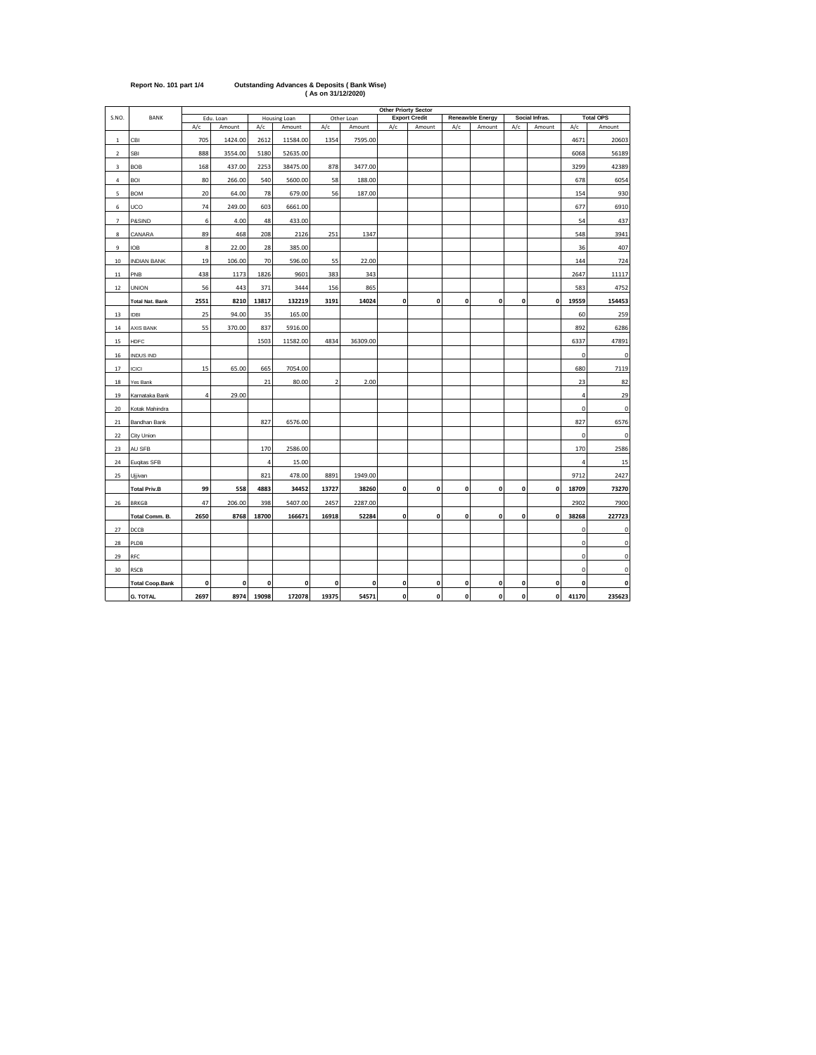|                |                        | <b>Other Priorty Sector</b> |           |                |              |       |            |             |                      |              |                  |              |                |                |                  |
|----------------|------------------------|-----------------------------|-----------|----------------|--------------|-------|------------|-------------|----------------------|--------------|------------------|--------------|----------------|----------------|------------------|
| S.NO.          | <b>BANK</b>            |                             | Edu. Loan |                | Housing Loan |       | Other Loan |             | <b>Export Credit</b> |              | Reneawble Energy |              | Social Infras. |                | <b>Total OPS</b> |
|                |                        | A/c                         | Amount    | A/c            | Amount       | A/c   | Amount     | A/c         | Amount               | A/c          | Amount           | A/c          | Amount         | A/c            | Amount           |
| $\mathbf{1}$   | CBI                    | 705                         | 1424.00   | 2612           | 11584.00     | 1354  | 7595.00    |             |                      |              |                  |              |                | 4671           | 20603            |
| $\overline{2}$ | <b>SBI</b>             | 888                         | 3554.00   | 5180           | 52635.00     |       |            |             |                      |              |                  |              |                | 6068           | 56189            |
| 3              | <b>BOB</b>             | 168                         | 437.00    | 2253           | 38475.00     | 878   | 3477.00    |             |                      |              |                  |              |                | 3299           | 42389            |
| 4              | <b>BOI</b>             | 80                          | 266.00    | 540            | 5600.00      | 58    | 188.00     |             |                      |              |                  |              |                | 678            | 6054             |
| 5              | <b>BOM</b>             | 20                          | 64.00     | 78             | 679.00       | 56    | 187.00     |             |                      |              |                  |              |                | 154            | 930              |
| 6              | UCO                    | 74                          | 249.00    | 603            | 6661.00      |       |            |             |                      |              |                  |              |                | 677            | 6910             |
| $\overline{7}$ | P&SIND                 | 6                           | 4.00      | 48             | 433.00       |       |            |             |                      |              |                  |              |                | 54             | 437              |
| 8              | CANARA                 | 89                          | 468       | 208            | 2126         | 251   | 1347       |             |                      |              |                  |              |                | 548            | 3941             |
| 9              | <b>IOB</b>             | 8                           | 22.00     | 28             | 385.00       |       |            |             |                      |              |                  |              |                | 36             | 407              |
| 10             | <b>INDIAN BANK</b>     | 19                          | 106.00    | 70             | 596.00       | 55    | 22.00      |             |                      |              |                  |              |                | 144            | 724              |
| $11\,$         | PNB                    | 438                         | 1173      | 1826           | 9601         | 383   | 343        |             |                      |              |                  |              |                | 2647           | 11117            |
| 12             | <b>UNION</b>           | 56                          | 443       | 371            | 3444         | 156   | 865        |             |                      |              |                  |              |                | 583            | 4752             |
|                | <b>Total Nat. Bank</b> | 2551                        | 8210      | 13817          | 132219       | 3191  | 14024      | 0           | $\mathbf 0$          | $\mathbf{0}$ | $\mathbf{0}$     | $\mathbf{0}$ | $\mathbf 0$    | 19559          | 154453           |
| 13             | <b>IDBI</b>            | 25                          | 94.00     | 35             | 165.00       |       |            |             |                      |              |                  |              |                | 60             | 259              |
| 14             | AXIS BANK              | 55                          | 370.00    | 837            | 5916.00      |       |            |             |                      |              |                  |              |                | 892            | 6286             |
| 15             | <b>HDFC</b>            |                             |           | 1503           | 11582.00     | 4834  | 36309.00   |             |                      |              |                  |              |                | 6337           | 47891            |
| 16             | <b>INDUS IND</b>       |                             |           |                |              |       |            |             |                      |              |                  |              |                | 0              | $\mathbf 0$      |
| 17             | ICICI                  | 15                          | 65.00     | 665            | 7054.00      |       |            |             |                      |              |                  |              |                | 680            | 7119             |
| 18             | Yes Bank               |                             |           | 21             | 80.00        | 2     | 2.00       |             |                      |              |                  |              |                | 23             | 82               |
| 19             | Karnataka Bank         | $\overline{4}$              | 29.00     |                |              |       |            |             |                      |              |                  |              |                | $\overline{4}$ | 29               |
| 20             | Kotak Mahindra         |                             |           |                |              |       |            |             |                      |              |                  |              |                | 0              | 0                |
| 21             | Bandhan Bank           |                             |           | 827            | 6576.00      |       |            |             |                      |              |                  |              |                | 827            | 6576             |
| 22             | City Union             |                             |           |                |              |       |            |             |                      |              |                  |              |                | 0              | $\mathbf{0}$     |
| 23             | AU SFB                 |                             |           | 170            | 2586.00      |       |            |             |                      |              |                  |              |                | 170            | 2586             |
| 24             | Euqitas SFB            |                             |           | $\overline{4}$ | 15.00        |       |            |             |                      |              |                  |              |                | $\overline{4}$ | 15               |
| 25             | Ujjivan                |                             |           | 821            | 478.00       | 8891  | 1949.00    |             |                      |              |                  |              |                | 9712           | 2427             |
|                | <b>Total Priv.B</b>    | 99                          | 558       | 4883           | 34452        | 13727 | 38260      | 0           | $\mathbf{0}$         | $\mathbf{0}$ | $\mathbf{0}$     | 0            | $\pmb{0}$      | 18709          | 73270            |
| 26             | <b>BRKGB</b>           | 47                          | 206.00    | 398            | 5407.00      | 2457  | 2287.00    |             |                      |              |                  |              |                | 2902           | 7900             |
|                | Total Comm. B.         | 2650                        | 8768      | 18700          | 166671       | 16918 | 52284      | 0           | 0                    | 0            | 0                | 0            | $\pmb{0}$      | 38268          | 227723           |
| 27             | DCCB                   |                             |           |                |              |       |            |             |                      |              |                  |              |                | 0              | $\mathsf 0$      |
| 28             | PLDB                   |                             |           |                |              |       |            |             |                      |              |                  |              |                | 0              | $\pmb{0}$        |
| 29             | RFC                    |                             |           |                |              |       |            |             |                      |              |                  |              |                | 0              | $\pmb{0}$        |
| 30             | <b>RSCB</b>            |                             |           |                |              |       |            |             |                      |              |                  |              |                | 0              | $\pmb{0}$        |
|                | <b>Total Coop.Bank</b> | 0                           | 0         | 0              | 0            | 0     | 0          | 0           | 0                    | 0            | 0                | 0            | 0              | 0              | 0                |
|                | <b>G. TOTAL</b>        | 2697                        | 8974      | 19098          | 172078       | 19375 | 54571      | $\mathbf 0$ | 0                    | 0            | $\mathbf{0}$     | $\mathbf 0$  | $\pmb{0}$      | 41170          | 235623           |

## **Report No. 101 part 1/4 Outstanding Advances & Deposits ( Bank Wise) ( As on 31/12/2020)**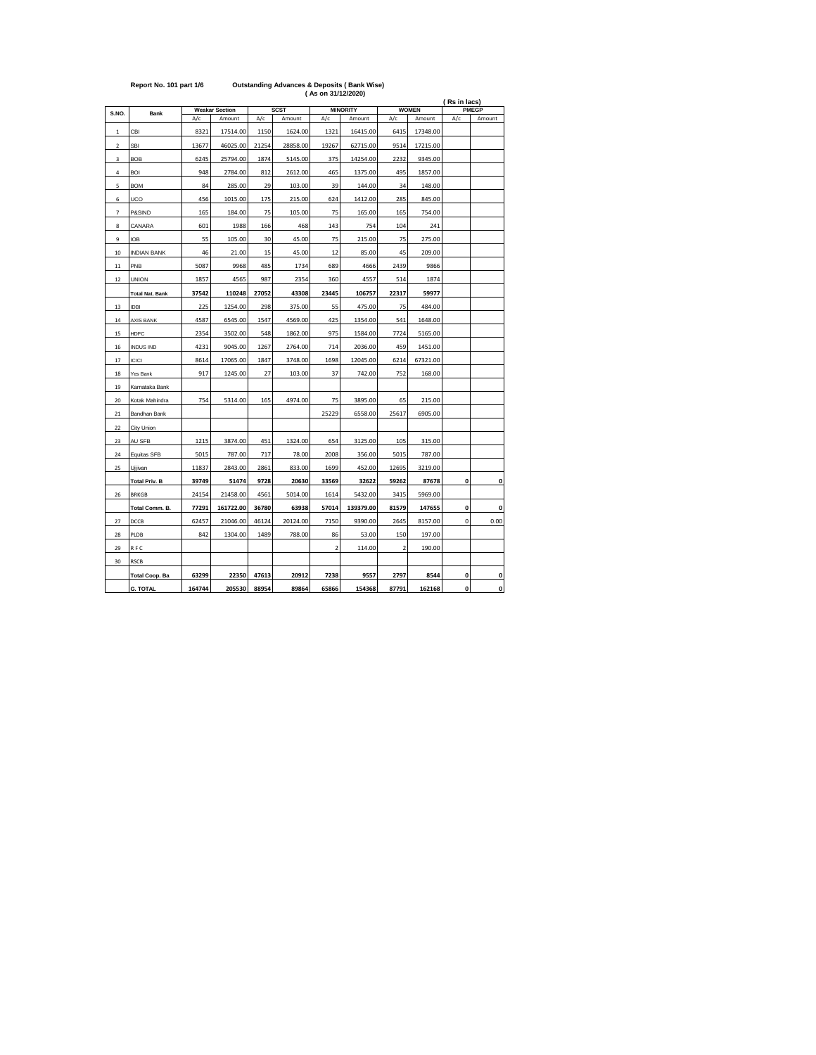|                |                        |        |                       |       |             | (As on 31/12/2020) |                 |                |              |              |              |
|----------------|------------------------|--------|-----------------------|-------|-------------|--------------------|-----------------|----------------|--------------|--------------|--------------|
| S.NO.          | <b>Bank</b>            |        | <b>Weakar Section</b> |       | <b>SCST</b> |                    | <b>MINORITY</b> |                | <b>WOMEN</b> | (Rs in lacs) | <b>PMEGP</b> |
|                |                        | A/c    | Amount                | A/c   | Amount      | A/c                | Amount          | A/c            | Amount       | A/c          | Amount       |
| $\mathbf{1}$   | CBI                    | 8321   | 17514.00              | 1150  | 1624.00     | 1321               | 16415.00        | 6415           | 17348.00     |              |              |
| $\overline{2}$ | <b>SBI</b>             | 13677  | 46025.00              | 21254 | 28858.00    | 19267              | 62715.00        | 9514           | 17215.00     |              |              |
| 3              | <b>BOB</b>             | 6245   | 25794.00              | 1874  | 5145.00     | 375                | 14254.00        | 2232           | 9345.00      |              |              |
| 4              | <b>BOI</b>             | 948    | 2784.00               | 812   | 2612.00     | 465                | 1375.00         | 495            | 1857.00      |              |              |
| 5              | <b>BOM</b>             | 84     | 285.00                | 29    | 103.00      | 39                 | 144.00          | 34             | 148.00       |              |              |
| 6              | UCO                    | 456    | 1015.00               | 175   | 215.00      | 624                | 1412.00         | 285            | 845.00       |              |              |
| $\overline{7}$ | P&SIND                 | 165    | 184.00                | 75    | 105.00      | 75                 | 165.00          | 165            | 754.00       |              |              |
| 8              | CANARA                 | 601    | 1988                  | 166   | 468         | 143                | 754             | 104            | 241          |              |              |
| 9              | <b>IOB</b>             | 55     | 105.00                | 30    | 45.00       | 75                 | 215.00          | 75             | 275.00       |              |              |
| 10             | <b>INDIAN BANK</b>     | 46     | 21.00                 | 15    | 45.00       | 12                 | 85.00           | 45             | 209.00       |              |              |
| 11             | PNB                    | 5087   | 9968                  | 485   | 1734        | 689                | 4666            | 2439           | 9866         |              |              |
| 12             | <b>UNION</b>           | 1857   | 4565                  | 987   | 2354        | 360                | 4557            | 514            | 1874         |              |              |
|                | <b>Total Nat. Bank</b> | 37542  | 110248                | 27052 | 43308       | 23445              | 106757          | 22317          | 59977        |              |              |
| 13             | <b>IDBI</b>            | 225    | 1254.00               | 298   | 375.00      | 55                 | 475.00          | 75             | 484.00       |              |              |
| 14             | <b>AXIS BANK</b>       | 4587   | 6545.00               | 1547  | 4569.00     | 425                | 1354.00         | 541            | 1648.00      |              |              |
| 15             | <b>HDFC</b>            | 2354   | 3502.00               | 548   | 1862.00     | 975                | 1584.00         | 7724           | 5165.00      |              |              |
| 16             | <b>INDUS IND</b>       | 4231   | 9045.00               | 1267  | 2764.00     | 714                | 2036.00         | 459            | 1451.00      |              |              |
| 17             | <b>ICICI</b>           | 8614   | 17065.00              | 1847  | 3748.00     | 1698               | 12045.00        | 6214           | 67321.00     |              |              |
| 18             | Yes Bank               | 917    | 1245.00               | 27    | 103.00      | 37                 | 742.00          | 752            | 168.00       |              |              |
| 19             | Karnataka Bank         |        |                       |       |             |                    |                 |                |              |              |              |
| 20             | Kotak Mahindra         | 754    | 5314.00               | 165   | 4974.00     | 75                 | 3895.00         | 65             | 215.00       |              |              |
| 21             | Bandhan Bank           |        |                       |       |             | 25229              | 6558.00         | 25617          | 6905.00      |              |              |
| 22             | City Union             |        |                       |       |             |                    |                 |                |              |              |              |
| 23             | AU SFB                 | 1215   | 3874.00               | 451   | 1324.00     | 654                | 3125.00         | 105            | 315.00       |              |              |
| 24             | Equitas SFB            | 5015   | 787.00                | 717   | 78.00       | 2008               | 356.00          | 5015           | 787.00       |              |              |
| 25             | Ujjivan                | 11837  | 2843.00               | 2861  | 833.00      | 1699               | 452.00          | 12695          | 3219.00      |              |              |
|                | <b>Total Priv. B</b>   | 39749  | 51474                 | 9728  | 20630       | 33569              | 32622           | 59262          | 87678        | 0            | 0            |
| 26             | <b>BRKGB</b>           | 24154  | 21458.00              | 4561  | 5014.00     | 1614               | 5432.00         | 3415           | 5969.00      |              |              |
|                | Total Comm. B.         | 77291  | 161722.00             | 36780 | 63938       | 57014              | 139379.00       | 81579          | 147655       | 0            | 0            |
| 27             | DCCB                   | 62457  | 21046.00              | 46124 | 20124.00    | 7150               | 9390.00         | 2645           | 8157.00      | 0            | 0.00         |
| 28             | PLDB                   | 842    | 1304.00               | 1489  | 788.00      | 86                 | 53.00           | 150            | 197.00       |              |              |
| 29             | <b>RFC</b>             |        |                       |       |             | $\overline{2}$     | 114.00          | $\overline{a}$ | 190.00       |              |              |
| 30             | <b>RSCB</b>            |        |                       |       |             |                    |                 |                |              |              |              |
|                | <b>Total Coop. Ba</b>  | 63299  | 22350                 | 47613 | 20912       | 7238               | 9557            | 2797           | 8544         | 0            | 0            |
|                | <b>G. TOTAL</b>        | 164744 | 205530                | 88954 | 89864       | 65866              | 154368          | 87791          | 162168       | 0            | 0            |

## **Report No. 101 part 1/6 Outstanding Advances & Deposits ( Bank Wise)**